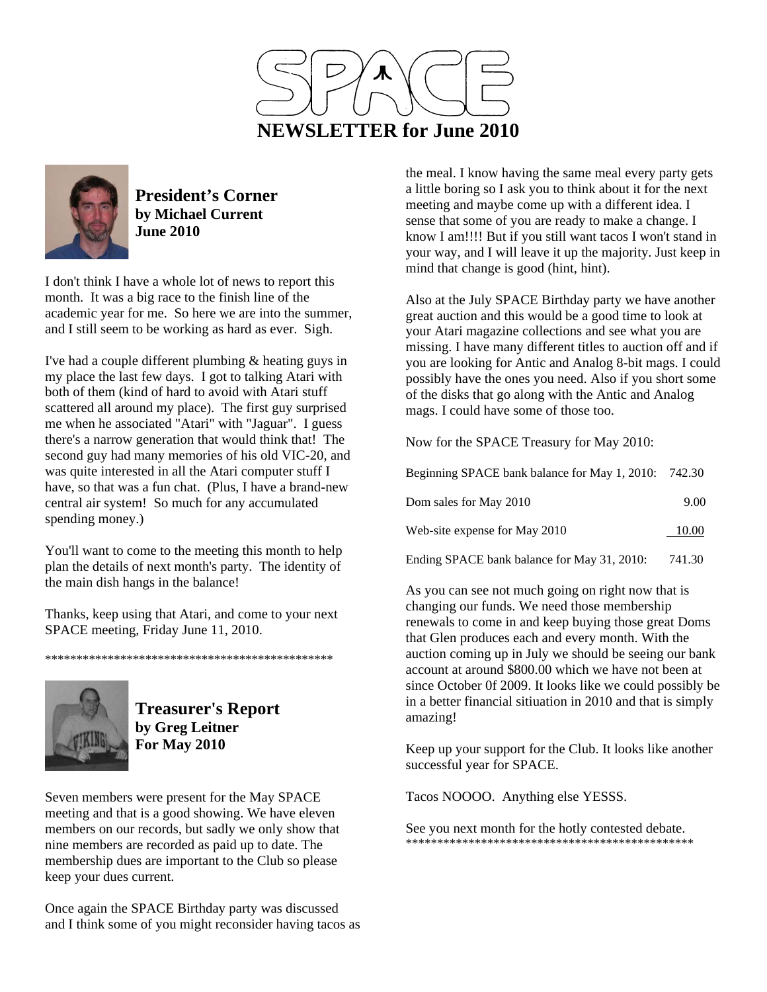



**President's Corner by Michael Current June 2010**

I don't think I have a whole lot of news to report this month. It was a big race to the finish line of the academic year for me. So here we are into the summer, and I still seem to be working as hard as ever. Sigh.

I've had a couple different plumbing & heating guys in my place the last few days. I got to talking Atari with both of them (kind of hard to avoid with Atari stuff scattered all around my place). The first guy surprised me when he associated "Atari" with "Jaguar". I guess there's a narrow generation that would think that! The second guy had many memories of his old VIC-20, and was quite interested in all the Atari computer stuff I have, so that was a fun chat. (Plus, I have a brand-new central air system! So much for any accumulated spending money.)

You'll want to come to the meeting this month to help plan the details of next month's party. The identity of the main dish hangs in the balance!

Thanks, keep using that Atari, and come to your next SPACE meeting, Friday June 11, 2010.

\*\*\*\*\*\*\*\*\*\*\*\*\*\*\*\*\*\*\*\*\*\*\*\*\*\*\*\*\*\*\*\*\*\*\*\*\*\*\*\*\*\*\*\*\*\*

**Treasurer's Report by Greg Leitner For May 2010** 

Seven members were present for the May SPACE meeting and that is a good showing. We have eleven members on our records, but sadly we only show that nine members are recorded as paid up to date. The membership dues are important to the Club so please keep your dues current.

Once again the SPACE Birthday party was discussed and I think some of you might reconsider having tacos as

the meal. I know having the same meal every party gets a little boring so I ask you to think about it for the next meeting and maybe come up with a different idea. I sense that some of you are ready to make a change. I know I am!!!! But if you still want tacos I won't stand in your way, and I will leave it up the majority. Just keep in mind that change is good (hint, hint).

Also at the July SPACE Birthday party we have another great auction and this would be a good time to look at your Atari magazine collections and see what you are missing. I have many different titles to auction off and if you are looking for Antic and Analog 8-bit mags. I could possibly have the ones you need. Also if you short some of the disks that go along with the Antic and Analog mags. I could have some of those too.

Now for the SPACE Treasury for May 2010:

| Beginning SPACE bank balance for May 1, 2010: 742.30 |        |
|------------------------------------------------------|--------|
| Dom sales for May 2010                               | 9.00   |
| Web-site expense for May 2010                        | 10.00  |
| Ending SPACE bank balance for May 31, 2010:          | 741.30 |

As you can see not much going on right now that is changing our funds. We need those membership renewals to come in and keep buying those great Doms that Glen produces each and every month. With the auction coming up in July we should be seeing our bank account at around \$800.00 which we have not been at since October 0f 2009. It looks like we could possibly be in a better financial sitiuation in 2010 and that is simply amazing!

Keep up your support for the Club. It looks like another successful year for SPACE.

Tacos NOOOO. Anything else YESSS.

See you next month for the hotly contested debate. \*\*\*\*\*\*\*\*\*\*\*\*\*\*\*\*\*\*\*\*\*\*\*\*\*\*\*\*\*\*\*\*\*\*\*\*\*\*\*\*\*\*\*\*\*\*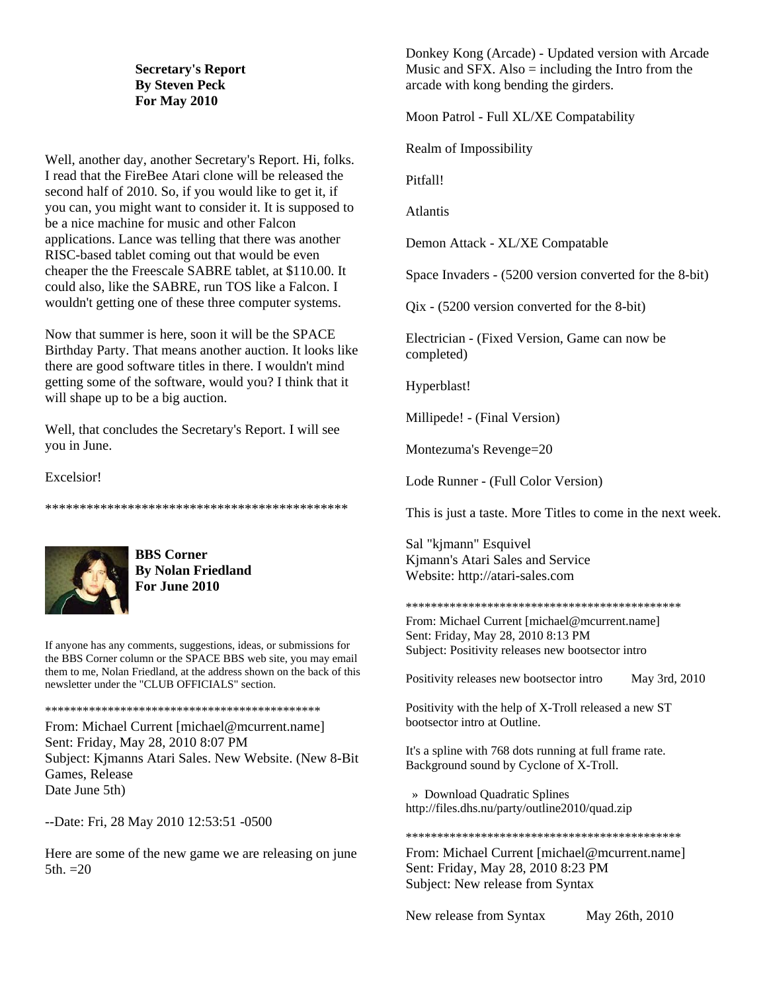### **Secretary's Report By Steven Peck For May 2010**

Well, another day, another Secretary's Report. Hi, folks. I read that the FireBee Atari clone will be released the second half of 2010. So, if you would like to get it, if you can, you might want to consider it. It is supposed to be a nice machine for music and other Falcon applications. Lance was telling that there was another RISC-based tablet coming out that would be even cheaper the the Freescale SABRE tablet, at \$110.00. It could also, like the SABRE, run TOS like a Falcon. I wouldn't getting one of these three computer systems.

Now that summer is here, soon it will be the SPACE Birthday Party. That means another auction. It looks like there are good software titles in there. I wouldn't mind getting some of the software, would you? I think that it will shape up to be a big auction.

Well, that concludes the Secretary's Report. I will see you in June.

Excelsior!

\*\*\*\*\*\*\*\*\*\*\*\*\*\*\*\*\*\*\*\*\*\*\*\*\*\*\*\*\*\*\*\*\*\*\*\*\*\*\*\*\*\*\*\*



**BBS Corner By Nolan Friedland For June 2010** 

If anyone has any comments, suggestions, ideas, or submissions for the BBS Corner column or the SPACE BBS web site, you may email them to me, Nolan Friedland, at the address shown on the back of this newsletter under the "CLUB OFFICIALS" section.

\*\*\*\*\*\*\*\*\*\*\*\*\*\*\*\*\*\*\*\*\*\*\*\*\*\*\*\*\*\*\*\*\*\*\*\*\*\*\*\*\*\*\*\*

From: Michael Current [michael@mcurrent.name] Sent: Friday, May 28, 2010 8:07 PM Subject: Kjmanns Atari Sales. New Website. (New 8-Bit Games, Release Date June 5th)

--Date: Fri, 28 May 2010 12:53:51 -0500

Here are some of the new game we are releasing on june  $5th. = 20$ 

Donkey Kong (Arcade) - Updated version with Arcade Music and SFX. Also  $=$  including the Intro from the arcade with kong bending the girders.

Moon Patrol - Full XL/XE Compatability

Realm of Impossibility

Pitfall!

Atlantis

Demon Attack - XL/XE Compatable

Space Invaders - (5200 version converted for the 8-bit)

Qix - (5200 version converted for the 8-bit)

Electrician - (Fixed Version, Game can now be completed)

Hyperblast!

Millipede! - (Final Version)

Montezuma's Revenge=20

Lode Runner - (Full Color Version)

This is just a taste. More Titles to come in the next week.

Sal "kjmann" Esquivel Kjmann's Atari Sales and Service Website: http://atari-sales.com

\*\*\*\*\*\*\*\*\*\*\*\*\*\*\*\*\*\*\*\*\*\*\*\*\*\*\*\*\*\*\*\*\*\*\*\*\*\*\*\*\*\*\*\*

From: Michael Current [michael@mcurrent.name] Sent: Friday, May 28, 2010 8:13 PM Subject: Positivity releases new bootsector intro

Positivity releases new bootsector intro May 3rd, 2010

Positivity with the help of X-Troll released a new ST bootsector intro at Outline.

It's a spline with 768 dots running at full frame rate. Background sound by Cyclone of X-Troll.

 » Download Quadratic Splines http://files.dhs.nu/party/outline2010/quad.zip

\*\*\*\*\*\*\*\*\*\*\*\*\*\*\*\*\*\*\*\*\*\*\*\*\*\*\*\*\*\*\*\*\*\*\*\*\*\*\*\*\*\*\*\*

From: Michael Current [michael@mcurrent.name] Sent: Friday, May 28, 2010 8:23 PM Subject: New release from Syntax

New release from Syntax May 26th, 2010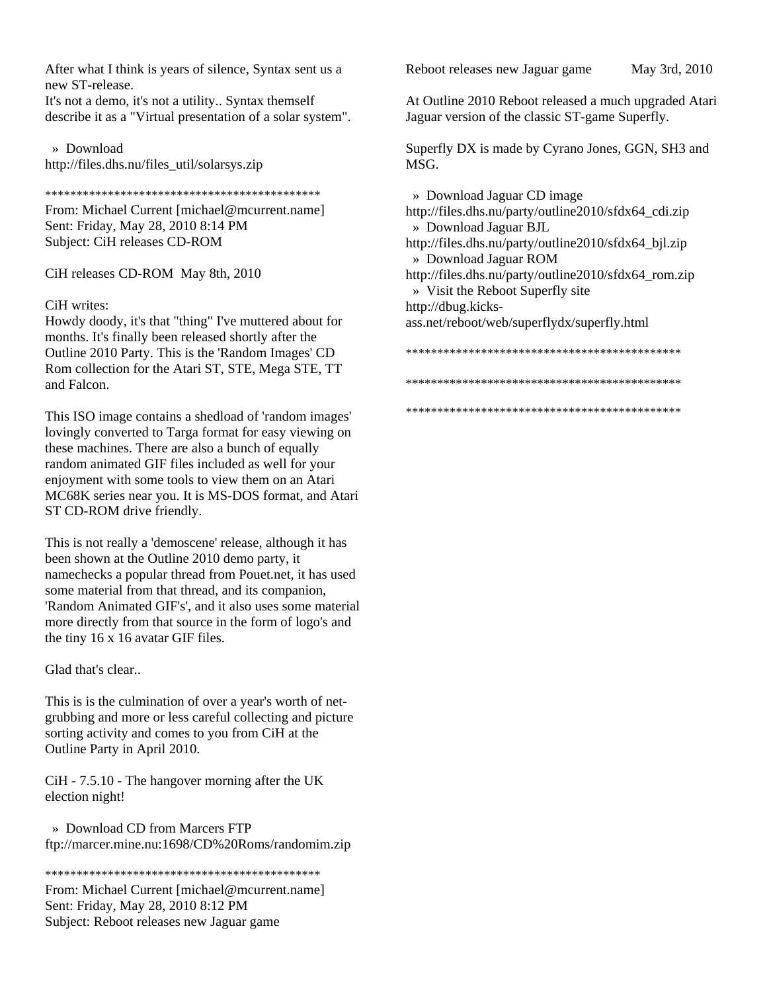After what I think is years of silence, Syntax sent us a new ST-release.

It's not a demo, it's not a utility.. Syntax themself describe it as a "Virtual presentation of a solar system".

 » Download http://files.dhs.nu/files\_util/solarsys.zip

\*\*\*\*\*\*\*\*\*\*\*\*\*\*\*\*\*\*\*\*\*\*\*\*\*\*\*\*\*\*\*\*\*\*\*\*\*\*\*\*\*\*\*\*

From: Michael Current [michael@mcurrent.name] Sent: Friday, May 28, 2010 8:14 PM Subject: CiH releases CD-ROM

CiH releases CD-ROM May 8th, 2010

#### CiH writes:

Howdy doody, it's that "thing" I've muttered about for months. It's finally been released shortly after the Outline 2010 Party. This is the 'Random Images' CD Rom collection for the Atari ST, STE, Mega STE, TT and Falcon.

This ISO image contains a shedload of 'random images' lovingly converted to Targa format for easy viewing on these machines. There are also a bunch of equally random animated GIF files included as well for your enjoyment with some tools to view them on an Atari MC68K series near you. It is MS-DOS format, and Atari ST CD-ROM drive friendly.

This is not really a 'demoscene' release, although it has been shown at the Outline 2010 demo party, it namechecks a popular thread from Pouet.net, it has used some material from that thread, and its companion, 'Random Animated GIF's', and it also uses some material more directly from that source in the form of logo's and the tiny 16 x 16 avatar GIF files.

Glad that's clear..

This is is the culmination of over a year's worth of netgrubbing and more or less careful collecting and picture sorting activity and comes to you from CiH at the Outline Party in April 2010.

CiH - 7.5.10 - The hangover morning after the UK election night!

 » Download CD from Marcers FTP ftp://marcer.mine.nu:1698/CD%20Roms/randomim.zip

\*\*\*\*\*\*\*\*\*\*\*\*\*\*\*\*\*\*\*\*\*\*\*\*\*\*\*\*\*\*\*\*\*\*\*\*\*\*\*\*\*\*\*\*

From: Michael Current [michael@mcurrent.name] Sent: Friday, May 28, 2010 8:12 PM Subject: Reboot releases new Jaguar game

Reboot releases new Jaguar game May 3rd, 2010

At Outline 2010 Reboot released a much upgraded Atari Jaguar version of the classic ST-game Superfly.

Superfly DX is made by Cyrano Jones, GGN, SH3 and MSG.

 » Download Jaguar CD image http://files.dhs.nu/party/outline2010/sfdx64\_cdi.zip » Download Jaguar BJL http://files.dhs.nu/party/outline2010/sfdx64\_bjl.zip » Download Jaguar ROM http://files.dhs.nu/party/outline2010/sfdx64\_rom.zip » Visit the Reboot Superfly site http://dbug.kicksass.net/reboot/web/superflydx/superfly.html \*\*\*\*\*\*\*\*\*\*\*\*\*\*\*\*\*\*\*\*\*\*\*\*\*\*\*\*\*\*\*\*\*\*\*\*\*\*\*\*\*\*\*\*

\*\*\*\*\*\*\*\*\*\*\*\*\*\*\*\*\*\*\*\*\*\*\*\*\*\*\*\*\*\*\*\*\*\*\*\*\*\*\*\*\*\*\*\*

\*\*\*\*\*\*\*\*\*\*\*\*\*\*\*\*\*\*\*\*\*\*\*\*\*\*\*\*\*\*\*\*\*\*\*\*\*\*\*\*\*\*\*\*